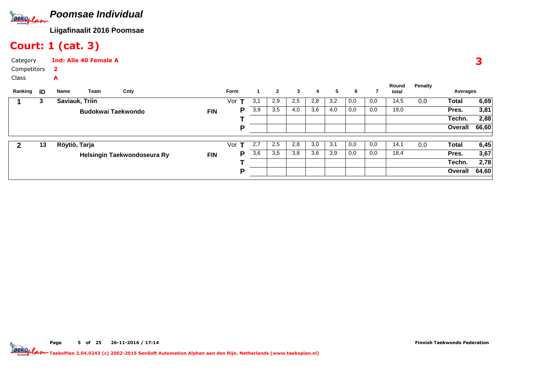

## Court: 1 (cat. 3)

| Category    | <b>Ind: Alle 40 Female A</b> |
|-------------|------------------------------|
| Competitors |                              |
| Class       | А                            |

| Ranking | ID | Name           | Team                      | Cnty                        |            | <b>Form</b>         |     | $\mathbf{2}$ | 3   | 4   | 5   | 6   |     | Round<br>total | Penalty | Averages |       |
|---------|----|----------------|---------------------------|-----------------------------|------------|---------------------|-----|--------------|-----|-----|-----|-----|-----|----------------|---------|----------|-------|
|         | 3  | Saviauk, Triin |                           |                             |            | $\mathbf{T}$<br>Vor | 3,1 | 2,9          | 2,5 | 2,8 | 3,2 | 0,0 | 0,0 | 14,5           | 0,0     | Total    | 6,69  |
|         |    |                | <b>Budokwai Taekwondo</b> |                             | <b>FIN</b> | Р                   | 3,9 | 3,5          | 4,0 | 3,6 | 4,0 | 0,0 | 0,0 | 19,0           |         | Pres.    | 3,81  |
|         |    |                |                           |                             |            |                     |     |              |     |     |     |     |     |                |         | Techn.   | 2,88  |
|         |    |                |                           |                             |            | D                   |     |              |     |     |     |     |     |                |         | Overall  | 66,60 |
|         |    |                |                           |                             |            |                     |     |              |     |     |     |     |     |                |         |          |       |
|         | 13 | Röytiö, Tarja  |                           |                             |            | Vor<br>т            | 2,7 | 2,5          | 2,8 | 3,0 | 3,1 | 0,0 | 0,0 | 14,1           | 0,0     | Total    | 6,45  |
|         |    |                |                           | Helsingin Taekwondoseura Ry | <b>FIN</b> | Р                   | 3,6 | 3,5          | 3,8 | 3,6 | 3,9 | 0,0 | 0,0 | 18,4           |         | Pres.    | 3,67  |
|         |    |                |                           |                             |            |                     |     |              |     |     |     |     |     |                |         | Techn.   | 2,78  |
|         |    |                |                           |                             |            | D                   |     |              |     |     |     |     |     |                |         | Overall  | 64,60 |
|         |    |                |                           |                             |            |                     |     |              |     |     |     |     |     |                |         |          |       |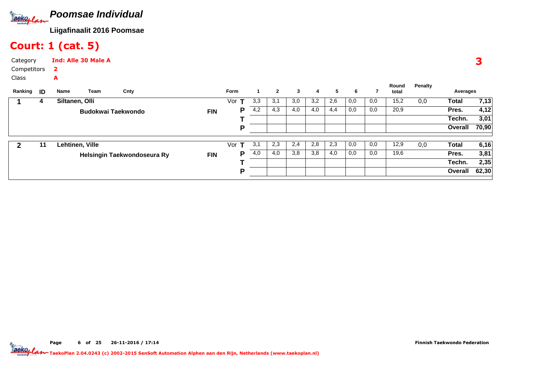

### Court: 1 (cat. 5)

| Category    | <b>Ind: Alle 30 Male A</b> |
|-------------|----------------------------|
| Competitors |                            |
| Class       | А                          |

| Ranking | -ID | Name            | Team               | Cnty                        |            | Form     |     | $\mathbf{2}$ | 3   | 4   | 5   | 6   |     | Round<br>total | Penalty | Averages |       |
|---------|-----|-----------------|--------------------|-----------------------------|------------|----------|-----|--------------|-----|-----|-----|-----|-----|----------------|---------|----------|-------|
|         | 4   | Siltanen, Olli  |                    |                             |            | Vor      | 3,3 | 3,1          | 3,0 | 3,2 | 2,6 | 0,0 | 0,0 | 15,2           | 0,0     | Total    | 7,13  |
|         |     |                 | Budokwai Taekwondo |                             | <b>FIN</b> | Р        | 4,2 | 4,3          | 4,0 | 4,0 | 4,4 | 0,0 | 0,0 | 20,9           |         | Pres.    | 4,12  |
|         |     |                 |                    |                             |            |          |     |              |     |     |     |     |     |                |         | Techn.   | 3,01  |
|         |     |                 |                    |                             |            | D        |     |              |     |     |     |     |     |                |         | Overall  | 70,90 |
|         | 11  | Lehtinen, Ville |                    |                             |            | Vor<br>т | 3,1 | 2,3          | 2,4 | 2,8 | 2,3 | 0,0 | 0,0 | 12,9           | 0,0     | Total    | 6,16  |
|         |     |                 |                    | Helsingin Taekwondoseura Ry | <b>FIN</b> | Р        | 4,0 | 4,0          | 3,8 | 3,8 | 4,0 | 0,0 | 0,0 | 19,6           |         | Pres.    | 3,81  |
|         |     |                 |                    |                             |            |          |     |              |     |     |     |     |     |                |         | Techn.   | 2,35  |
|         |     |                 |                    |                             |            | D        |     |              |     |     |     |     |     |                |         | Overall  | 62,30 |
|         |     |                 |                    |                             |            |          |     |              |     |     |     |     |     |                |         |          |       |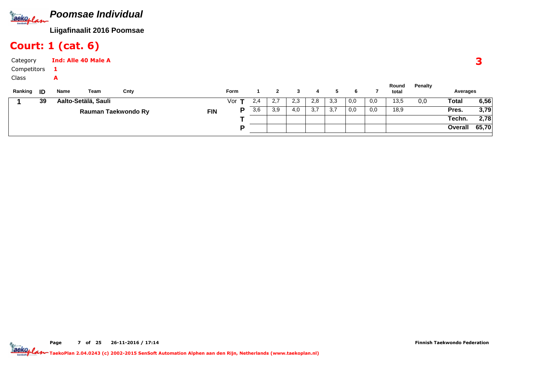

## Court: 1 (cat. 6)

| Category<br>Competitors<br>Class |    |           | <b>Ind: Alle 40 Male A</b> |                     |            |              |     |              |     |     |                  |     |     |                |         |          |       |
|----------------------------------|----|-----------|----------------------------|---------------------|------------|--------------|-----|--------------|-----|-----|------------------|-----|-----|----------------|---------|----------|-------|
| Ranking <b>ID</b>                |    | A<br>Name | Team                       | Cnty                |            | Form         |     | $\mathbf{2}$ | 3   | 4   | 5                | 6   |     | Round<br>total | Penalty | Averages |       |
|                                  | 39 |           | Aalto-Setälä, Sauli        |                     |            | Vor <b>T</b> | 2,4 | 2,7          | 2,3 | 2,8 | 3,3              | 0,0 | 0,0 | 13,5           | 0,0     | Total    | 6,56  |
|                                  |    |           |                            | Rauman Taekwondo Ry | <b>FIN</b> | P            | 3,6 | 3,9          | 4,0 | 3,7 | $\overline{3,7}$ | 0,0 | 0,0 | 18,9           |         | Pres.    | 3,79  |
|                                  |    |           |                            |                     |            |              |     |              |     |     |                  |     |     |                |         | Techn.   | 2,78  |
|                                  |    |           |                            |                     |            | D            |     |              |     |     |                  |     |     |                |         | Overall  | 65,70 |

Page 7 of 25 26-11-2016 / 17:14

Finnish Taekwondo Federation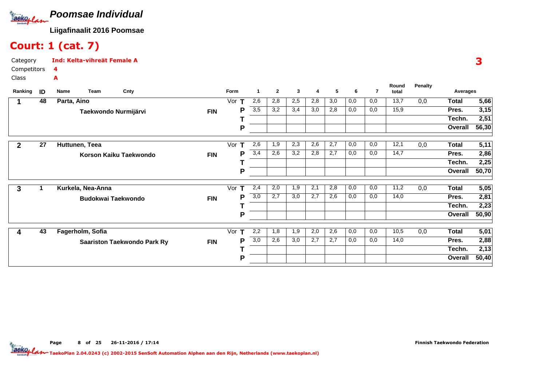

## Court: 1 (cat. 7)

Category CompetitorsClassInd: Kelta-vihreät Female A4A

|         |    |                   |                                    |            |          |                  |              |     |     |     |     |     | Round | Penalty |              |       |
|---------|----|-------------------|------------------------------------|------------|----------|------------------|--------------|-----|-----|-----|-----|-----|-------|---------|--------------|-------|
| Ranking | ID | Name<br>Team      | Cnty                               |            | Form     | 1                | $\mathbf{2}$ | 3   | 4   | 5   | 6   | 7   | total |         | Averages     |       |
|         | 48 | Parta, Aino       |                                    |            | Vor      | 2,6              | 2,8          | 2,5 | 2,8 | 3,0 | 0,0 | 0,0 | 13,7  | 0,0     | <b>Total</b> | 5,66  |
|         |    |                   | Taekwondo Nurmijärvi               | <b>FIN</b> | P        | $\overline{3,5}$ | 3,2          | 3,4 | 3,0 | 2,8 | 0,0 | 0,0 | 15,9  |         | Pres.        | 3,15  |
|         |    |                   |                                    |            |          |                  |              |     |     |     |     |     |       |         | Techn.       | 2,51  |
|         |    |                   |                                    |            | P        |                  |              |     |     |     |     |     |       |         | Overall      | 56,30 |
|         |    |                   |                                    |            |          |                  |              |     |     |     |     |     |       |         |              |       |
| 2       | 27 | Huttunen, Teea    |                                    |            | Vor      | 2,6              | 1,9          | 2,3 | 2,6 | 2,7 | 0,0 | 0,0 | 12,1  | 0,0     | <b>Total</b> | 5,11  |
|         |    |                   | Korson Kaiku Taekwondo             | <b>FIN</b> | P        | 3,4              | 2,6          | 3,2 | 2,8 | 2,7 | 0,0 | 0,0 | 14,7  |         | Pres.        | 2,86  |
|         |    |                   |                                    |            |          |                  |              |     |     |     |     |     |       |         | Techn.       | 2,25  |
|         |    |                   |                                    |            | P        |                  |              |     |     |     |     |     |       |         | Overall      | 50,70 |
|         |    |                   |                                    |            |          |                  |              |     |     |     |     |     |       |         |              |       |
| 3       |    | Kurkela, Nea-Anna |                                    |            | Vor<br>т | 2,4              | 2,0          | 1,9 | 2,1 | 2,8 | 0,0 | 0,0 | 11,2  | 0,0     | Total        | 5,05  |
|         |    |                   | <b>Budokwai Taekwondo</b>          | <b>FIN</b> | P        | $\overline{3,0}$ | 2,7          | 3,0 | 2,7 | 2,6 | 0,0 | 0,0 | 14,0  |         | Pres.        | 2,81  |
|         |    |                   |                                    |            |          |                  |              |     |     |     |     |     |       |         | Techn.       | 2,23  |
|         |    |                   |                                    |            | P        |                  |              |     |     |     |     |     |       |         | Overall      | 50,90 |
|         |    |                   |                                    |            |          |                  |              |     |     |     |     |     |       |         |              |       |
| 4       | 43 | Fagerholm, Sofia  |                                    |            | Vor<br>Т | 2,2              | 1,8          | 1,9 | 2,0 | 2,6 | 0,0 | 0,0 | 10,5  | 0,0     | Total        | 5,01  |
|         |    |                   | <b>Saariston Taekwondo Park Ry</b> | <b>FIN</b> | P        | 3,0              | 2,6          | 3,0 | 2,7 | 2,7 | 0,0 | 0,0 | 14,0  |         | Pres.        | 2,88  |
|         |    |                   |                                    |            |          |                  |              |     |     |     |     |     |       |         | Techn.       | 2,13  |
|         |    |                   |                                    |            | P        |                  |              |     |     |     |     |     |       |         | Overall      | 50,40 |
|         |    |                   |                                    |            |          |                  |              |     |     |     |     |     |       |         |              |       |

Page 8 of 25 26-11-2016 / 17:14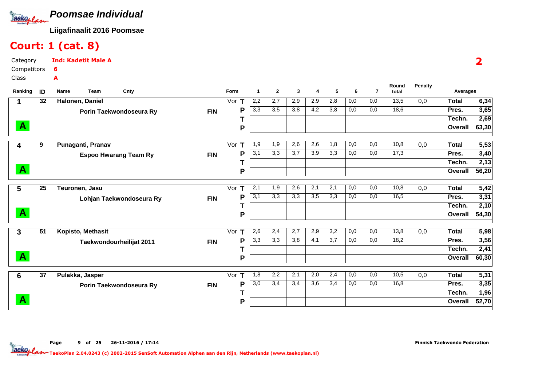

## Court: 1 (cat. 8)

| Category     |    | <b>Ind: Kadetit Male A</b>   |            |          |              |                |     |     |     |     |     |                |                |              |       |
|--------------|----|------------------------------|------------|----------|--------------|----------------|-----|-----|-----|-----|-----|----------------|----------------|--------------|-------|
| Competitors  |    | 6                            |            |          |              |                |     |     |     |     |     |                |                |              |       |
| Class        |    | A                            |            |          |              |                |     |     |     |     |     |                |                |              |       |
| Ranking      | ID | Team<br>Name<br>Cnty         |            | Form     | $\mathbf{1}$ | $\overline{2}$ | 3   | 4   | 5   | 6   | 7   | Round<br>total | <b>Penalty</b> | Averages     |       |
|              | 32 | Halonen, Daniel              |            | Vor      | 2,2          | 2,7            | 2,9 | 2,9 | 2,8 | 0,0 | 0,0 | 13,5           | 0,0            | <b>Total</b> | 6,34  |
|              |    | Porin Taekwondoseura Ry      | <b>FIN</b> | Р        | 3,3          | 3,5            | 3,8 | 4,2 | 3,8 | 0,0 | 0,0 | 18,6           |                | Pres.        | 3,65  |
|              |    |                              |            |          |              |                |     |     |     |     |     |                |                | Techn.       | 2,69  |
| $\mathbf{A}$ |    |                              |            | P        |              |                |     |     |     |     |     |                |                | Overall      | 63,30 |
| 4            | 9  | Punaganti, Pranav            |            | т<br>Vor | 1,9          | 1,9            | 2,6 | 2,6 | 1,8 | 0,0 | 0,0 | 10,8           | 0,0            | <b>Total</b> | 5,53  |
|              |    | <b>Espoo Hwarang Team Ry</b> | <b>FIN</b> | P        | 3,1          | 3,3            | 3,7 | 3,9 | 3,3 | 0,0 | 0,0 | 17,3           |                | Pres.        | 3,40  |
|              |    |                              |            |          |              |                |     |     |     |     |     |                |                | Techn.       | 2,13  |
| $\mathbf{A}$ |    |                              |            | P        |              |                |     |     |     |     |     |                |                | Overall      | 56,20 |
| 5            | 25 | Teuronen, Jasu               |            | Vor<br>т | 2,1          | 1,9            | 2,6 | 2,1 | 2,1 | 0,0 | 0,0 | 10,8           | 0,0            | <b>Total</b> | 5,42  |
|              |    | Lohjan Taekwondoseura Ry     | <b>FIN</b> | P        | 3,1          | 3,3            | 3,3 | 3,5 | 3,3 | 0,0 | 0,0 | 16,5           |                | Pres.        | 3,31  |
|              |    |                              |            |          |              |                |     |     |     |     |     |                |                | Techn.       | 2,10  |
| $\mathbf{A}$ |    |                              |            | P        |              |                |     |     |     |     |     |                |                | Overall      | 54,30 |

|    |                   |                                                     |          |     |     |     |     |     |     |     |      |     |         | 54,30∣  |
|----|-------------------|-----------------------------------------------------|----------|-----|-----|-----|-----|-----|-----|-----|------|-----|---------|---------|
| 51 | Kopisto, Methasit |                                                     | Vor      | 2,6 | 2,4 | 2,7 | 2,9 | 3,2 | 0,0 | 0,0 | 13,8 | 0,0 | Total   | 5,98    |
|    |                   | <b>FIN</b>                                          | Þ        | 3,3 | 3,3 | 3,8 | 4,1 | 3,7 | 0,0 | 0,0 | 18,2 |     | Pres.   | 3,56    |
|    |                   |                                                     |          |     |     |     |     |     |     |     |      |     | Techn.  | 2,41    |
|    |                   |                                                     | o        |     |     |     |     |     |     |     |      |     | Overall | 60,30   |
| 37 | Pulakka, Jasper   |                                                     | Vor<br>т | 1,8 | 2,2 | 2,1 | 2,0 | 2,4 | 0,0 | 0,0 | 10,5 | 0,0 | Total   | 5,31    |
|    |                   | <b>FIN</b>                                          | D        | 3,0 | 3,4 | 3,4 | 3,6 | 3,4 | 0,0 | 0,0 | 16,8 |     | Pres.   | 3,35    |
|    |                   |                                                     |          |     |     |     |     |     |     |     |      |     | Techn.  | 1,96    |
|    |                   |                                                     | D        |     |     |     |     |     |     |     |      |     | Overall | 52,70   |
|    |                   | Taekwondourheilijat 2011<br>Porin Taekwondoseura Ry |          |     |     | D   |     |     |     |     |      |     |         | Overall |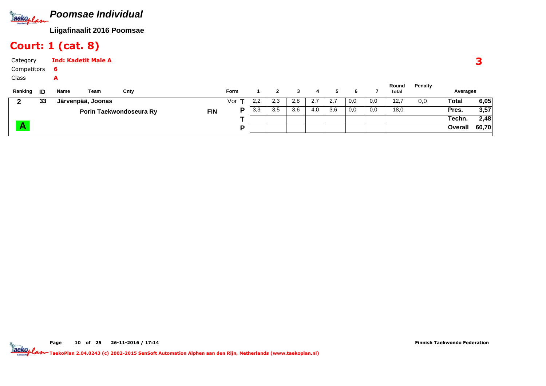

#### Court: 1 (cat. 8)

| Category<br>Competitors |    | - 6       | <b>Ind: Kadetit Male A</b> |                         |            |             |     |     |     |     |     |     |     |                |         |              |       |
|-------------------------|----|-----------|----------------------------|-------------------------|------------|-------------|-----|-----|-----|-----|-----|-----|-----|----------------|---------|--------------|-------|
| Class<br>Ranking        | ID | A<br>Name | Team                       | Cnty                    |            | <b>Form</b> |     | 2   | 3   | 4   | 5   | 6   |     | Round<br>total | Penalty | Averages     |       |
| $\mathbf{2}$            | 33 |           | Järvenpää, Joonas          |                         |            | Vor $\tau$  | 2,2 | 2,3 | 2,8 | 2,7 | 2,7 | 0,0 | 0,0 | 12,7           | 0,0     | <b>Total</b> | 6,05  |
|                         |    |           |                            | Porin Taekwondoseura Ry | <b>FIN</b> | P           | 3,3 | 3,5 | 3,6 | 4,0 | 3,6 | 0,0 | 0,0 | 18,0           |         | Pres.        | 3,57  |
|                         |    |           |                            |                         |            |             |     |     |     |     |     |     |     |                |         | Techn.       | 2,48  |
|                         |    |           |                            |                         |            | D           |     |     |     |     |     |     |     |                |         | Overall      | 60,70 |

Page 10 of 25 26-11-2016 / 17:14

Finnish Taekwondo Federation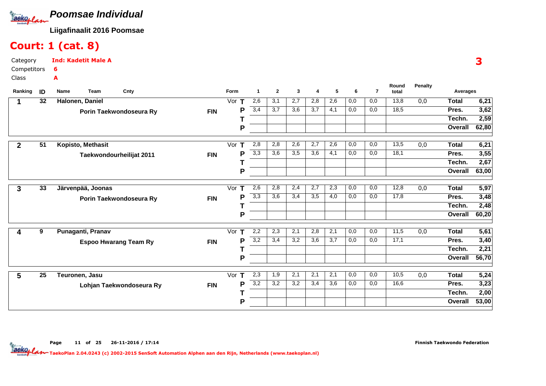

## Court: 1 (cat. 8)

| Category    | <b>Ind: Kadetit Male A</b> |
|-------------|----------------------------|
| Competitors | 6                          |
| Class       | А                          |

| Ranking      | ID              | Cnty<br>Name<br>Team         |            | Form                         | -1               | $\mathbf{2}$     | 3   | 4   | 5                | 6   | $\overline{7}$ | Round<br>total | <b>Penalty</b>   | Averages     |                   |
|--------------|-----------------|------------------------------|------------|------------------------------|------------------|------------------|-----|-----|------------------|-----|----------------|----------------|------------------|--------------|-------------------|
|              | 32              | Halonen, Daniel              |            | Vor<br>т                     | 2,6              | 3,1              | 2,7 | 2,8 | 2,6              | 0,0 | 0,0            | 13,8           | 0,0              | <b>Total</b> | 6,21              |
|              |                 | Porin Taekwondoseura Ry      | <b>FIN</b> | P                            | 3,4              | 3,7              | 3,6 | 3,7 | 4,1              | 0,0 | 0,0            | 18,5           |                  | Pres.        | 3,62              |
|              |                 |                              |            |                              |                  |                  |     |     |                  |     |                |                |                  | Techn.       | 2,59              |
|              |                 |                              |            | P                            |                  |                  |     |     |                  |     |                |                |                  | Overall      | 62,80             |
| $\mathbf{2}$ | 51              | Kopisto, Methasit            |            | Vor<br>т                     | 2,8              | 2,8              | 2,6 | 2,7 | 2,6              | 0,0 | 0,0            | 13,5           | 0,0              | <b>Total</b> | 6,21              |
|              |                 | Taekwondourheilijat 2011     | <b>FIN</b> | P                            | 3,3              | 3,6              | 3,5 | 3,6 | 4,1              | 0,0 | 0,0            | 18,1           |                  | Pres.        | 3,55              |
|              |                 |                              |            |                              |                  |                  |     |     |                  |     |                |                |                  | Techn.       | 2,67              |
|              |                 |                              |            | P                            |                  |                  |     |     |                  |     |                |                |                  | Overall      | 63,00             |
| 3            | 33              | Järvenpää, Joonas            |            | Vor<br>$\mathbf T$           | 2,6              | 2,8              | 2,4 | 2,7 | 2,3              | 0,0 | 0,0            | 12,8           | 0,0              | <b>Total</b> | 5,97              |
|              |                 | Porin Taekwondoseura Ry      | <b>FIN</b> | P                            | 3,3              | 3,6              | 3,4 | 3,5 | 4,0              | 0,0 | 0,0            | 17,8           |                  | Pres.        | 3,48              |
|              |                 |                              |            |                              |                  |                  |     |     |                  |     |                |                |                  | Techn.       | 2,48              |
|              |                 |                              |            | P                            |                  |                  |     |     |                  |     |                |                |                  | Overall      | 60,20             |
| 4            | 9               | Punaganti, Pranav            |            | Vor<br>т                     | 2,2              | 2,3              | 2,1 | 2,8 | 2,1              | 0,0 | 0,0            | 11,5           | 0,0              | <b>Total</b> | $\overline{5,61}$ |
|              |                 | <b>Espoo Hwarang Team Ry</b> | <b>FIN</b> | P                            | 3,2              | 3,4              | 3,2 | 3,6 | 3,7              | 0,0 | 0,0            | 17,1           |                  | Pres.        | 3,40              |
|              |                 |                              |            |                              |                  |                  |     |     |                  |     |                |                |                  | Techn.       | 2,21              |
|              |                 |                              |            | P                            |                  |                  |     |     |                  |     |                |                |                  | Overall      | 56,70             |
| 5            | $\overline{25}$ | Teuronen, Jasu               |            | $\overline{\text{Vor}}$<br>т | 2,3              | $\overline{1,9}$ | 2,1 | 2,1 | $\overline{2,1}$ | 0,0 | 0,0            | 10,5           | $\overline{0,0}$ | <b>Total</b> | 5,24              |
|              |                 | Lohjan Taekwondoseura Ry     | <b>FIN</b> | P                            | $\overline{3,2}$ | 3,2              | 3,2 | 3,4 | 3,6              | 0,0 | 0,0            | 16,6           |                  | Pres.        | 3,23              |
|              |                 |                              |            |                              |                  |                  |     |     |                  |     |                |                |                  | Techn.       | 2,00              |
|              |                 |                              |            | P                            |                  |                  |     |     |                  |     |                |                |                  | Overall      | 53,00             |

Page 11 of 25 26-11-2016 / 17:14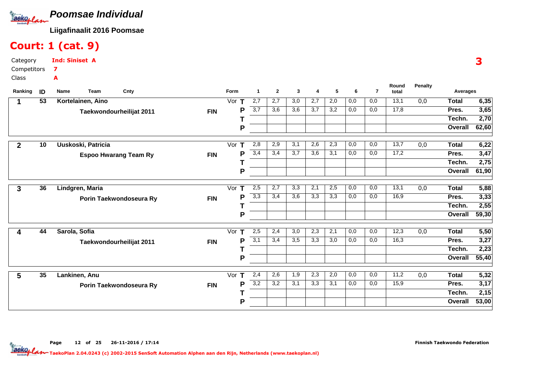

## Court: 1 (cat. 9)

Category CompetitorsClassInd: Siniset A7A

| Ranking        | ID | Team<br>Name       | Cnty                         |            | Form               | $\mathbf{1}$     | $\mathbf{2}$ | 3                | 4   | 5                | 6                | $\overline{7}$ | Round<br>total | <b>Penalty</b> | Averages     |                   |
|----------------|----|--------------------|------------------------------|------------|--------------------|------------------|--------------|------------------|-----|------------------|------------------|----------------|----------------|----------------|--------------|-------------------|
|                | 53 | Kortelainen, Aino  |                              |            | Vor                | 2,7              | 2,7          | 3,0              | 2,7 | 2,0              | 0,0              | 0,0            | 13,1           | 0,0            | <b>Total</b> | 6,35              |
|                |    |                    | Taekwondourheilijat 2011     | <b>FIN</b> | P                  | $\overline{3,7}$ | 3,6          | 3,6              | 3,7 | 3,2              | 0,0              | 0,0            | 17,8           |                | Pres.        | 3,65              |
|                |    |                    |                              |            |                    |                  |              |                  |     |                  |                  |                |                |                | Techn.       | 2,70              |
|                |    |                    |                              |            | P                  |                  |              |                  |     |                  |                  |                |                |                | Overall      | 62,60             |
| $\overline{2}$ | 10 | Uuskoski, Patricia |                              |            | Vor<br>Т           | 2,8              | 2,9          | 3,1              | 2,6 | 2,3              | 0,0              | 0,0            | 13,7           | 0,0            | <b>Total</b> | 6,22              |
|                |    |                    | <b>Espoo Hwarang Team Ry</b> | <b>FIN</b> | P                  | 3,4              | 3,4          | 3,7              | 3,6 | 3,1              | 0,0              | 0,0            | 17,2           |                | Pres.        | 3,47              |
|                |    |                    |                              |            |                    |                  |              |                  |     |                  |                  |                |                |                | Techn.       | 2,75              |
|                |    |                    |                              |            | P                  |                  |              |                  |     |                  |                  |                |                |                | Overall      | 61,90             |
| 3              | 36 | Lindgren, Maria    |                              |            | Vor $T$            | 2,5              | 2,7          | 3,3              | 2,1 | 2,5              | 0,0              | 0,0            | 13,1           | 0,0            | <b>Total</b> | 5,88              |
|                |    |                    | Porin Taekwondoseura Ry      | <b>FIN</b> | P                  | 3,3              | 3,4          | 3,6              | 3,3 | 3,3              | 0,0              | 0,0            | 16,9           |                | Pres.        | 3,33              |
|                |    |                    |                              |            |                    |                  |              |                  |     |                  |                  |                |                |                | Techn.       | 2,55              |
|                |    |                    |                              |            | P                  |                  |              |                  |     |                  |                  |                |                |                | Overall      | 59,30             |
|                | 44 | Sarola, Sofia      |                              |            | $\mathsf T$<br>Vor | 2,5              | 2,4          | $\overline{3,0}$ | 2,3 | $\overline{2,1}$ | 0,0              | 0,0            | 12,3           | 0,0            | <b>Total</b> | $\overline{5,50}$ |
|                |    |                    | Taekwondourheilijat 2011     | <b>FIN</b> | P                  | 3,1              | 3,4          | 3,5              | 3,3 | 3,0              | 0,0              | 0,0            | 16,3           |                | Pres.        | 3,27              |
|                |    |                    |                              |            |                    |                  |              |                  |     |                  |                  |                |                |                | Techn.       | 2,23              |
|                |    |                    |                              |            | P                  |                  |              |                  |     |                  |                  |                |                |                | Overall      | 55,40             |
| 5              | 35 | Lankinen, Anu      |                              |            | Vor<br>т           | 2,4              | 2,6          | 1,9              | 2,3 | 2,0              | $\overline{0,0}$ | 0,0            | 11,2           | 0,0            | <b>Total</b> | 5,32              |
|                |    |                    | Porin Taekwondoseura Ry      | <b>FIN</b> | P                  | $\overline{3,2}$ | 3,2          | 3,1              | 3,3 | 3,1              | 0,0              | 0,0            | 15,9           |                | Pres.        | 3,17              |
|                |    |                    |                              |            |                    |                  |              |                  |     |                  |                  |                |                |                | Techn.       | 2,15              |
|                |    |                    |                              |            | P                  |                  |              |                  |     |                  |                  |                |                |                | Overall      | 53,00             |

Page 12 of 25 26-11-2016 / 17:14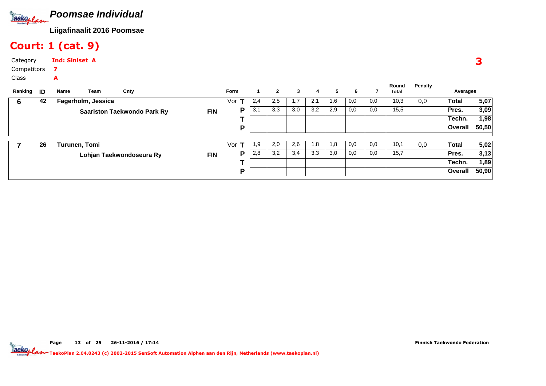

## Court: 1 (cat. 9)

| Category    | <b>Ind: Siniset A</b> |  |
|-------------|-----------------------|--|
| Competitors |                       |  |
| Class       | А                     |  |

| Ranking <b>ID</b> |    | Name          | Team               | Cnty                               |            | <b>Form</b> |     | $\mathbf{2}$ | 3   | 4   | 5   | 6   |     | Round<br>total | Penalty | Averages |       |
|-------------------|----|---------------|--------------------|------------------------------------|------------|-------------|-----|--------------|-----|-----|-----|-----|-----|----------------|---------|----------|-------|
| 6                 | 42 |               | Fagerholm, Jessica |                                    |            | Vor         | 2,4 | 2,5          | 1,7 | 2,1 | 1,6 | 0,0 | 0,0 | 10,3           | 0,0     | Total    | 5,07  |
|                   |    |               |                    | <b>Saariston Taekwondo Park Ry</b> | <b>FIN</b> | Р           | 3,1 | 3,3          | 3,0 | 3,2 | 2,9 | 0,0 | 0,0 | 15.5           |         | Pres.    | 3,09  |
|                   |    |               |                    |                                    |            |             |     |              |     |     |     |     |     |                |         | Techn.   | 1,98  |
|                   |    |               |                    |                                    |            | D           |     |              |     |     |     |     |     |                |         | Overall  | 50,50 |
|                   |    |               |                    |                                    |            |             |     |              |     |     |     |     |     |                |         |          |       |
|                   | 26 | Turunen, Tomi |                    |                                    |            | Vor<br>т    | 1,9 | 2,0          | 2,6 | 1.8 | 1,8 | 0,0 | 0,0 | 10,1           | 0,0     | Total    | 5,02  |
|                   |    |               |                    | Lohjan Taekwondoseura Ry           | <b>FIN</b> | P           | 2,8 | 3,2          | 3,4 | 3,3 | 3,0 | 0,0 | 0,0 | 15,7           |         | Pres.    | 3,13  |
|                   |    |               |                    |                                    |            |             |     |              |     |     |     |     |     |                |         | Techn.   | 1,89  |
|                   |    |               |                    |                                    |            | D           |     |              |     |     |     |     |     |                |         | Overall  | 50,90 |
|                   |    |               |                    |                                    |            |             |     |              |     |     |     |     |     |                |         |          |       |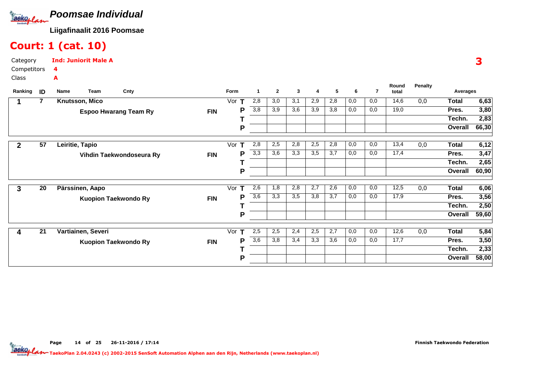

#### Court: 1 (cat. 10)

| Category    | <b>Ind: Juniorit Male A</b> |
|-------------|-----------------------------|
| Competitors | 4                           |
| Class       | А                           |

| Ranking | ID | Name<br>Team       | Cnty                         |            | <b>Form</b>         | 1   | $\mathbf{2}$ | 3   | 4   | 5   | 6   | $\overline{7}$ | Round<br>total | <b>Penalty</b> | Averages     |       |
|---------|----|--------------------|------------------------------|------------|---------------------|-----|--------------|-----|-----|-----|-----|----------------|----------------|----------------|--------------|-------|
|         | 7  | Knutsson, Mico     |                              |            | Vor                 | 2,8 | 3,0          | 3,1 | 2,9 | 2,8 | 0,0 | 0,0            | 14,6           | 0,0            | <b>Total</b> | 6,63  |
|         |    |                    | <b>Espoo Hwarang Team Ry</b> | <b>FIN</b> | Р                   | 3,8 | 3,9          | 3,6 | 3,9 | 3,8 | 0,0 | 0,0            | 19,0           |                | Pres.        | 3,80  |
|         |    |                    |                              |            |                     |     |              |     |     |     |     |                |                |                | Techn.       | 2,83  |
|         |    |                    |                              |            | P                   |     |              |     |     |     |     |                |                |                | Overall      | 66,30 |
|         | 57 | Leiritie, Tapio    |                              |            | Vor<br>т            | 2,8 | 2,5          | 2,8 | 2,5 | 2,8 | 0,0 | 0,0            | 13,4           | 0,0            | <b>Total</b> | 6,12  |
|         |    |                    | Vihdin Taekwondoseura Ry     | <b>FIN</b> | P                   | 3,3 | 3,6          | 3,3 | 3,5 | 3,7 | 0,0 | 0,0            | 17,4           |                | Pres.        | 3,47  |
|         |    |                    |                              |            |                     |     |              |     |     |     |     |                |                |                | Techn.       | 2,65  |
|         |    |                    |                              |            | P                   |     |              |     |     |     |     |                |                |                | Overall      | 60,90 |
| 3       | 20 | Pärssinen, Aapo    |                              |            | Vor<br>т            | 2,6 | 1,8          | 2,8 | 2,7 | 2,6 | 0,0 | 0,0            | 12,5           | 0,0            | <b>Total</b> | 6,06  |
|         |    |                    | <b>Kuopion Taekwondo Ry</b>  | <b>FIN</b> | Р                   | 3,6 | 3,3          | 3,5 | 3,8 | 3,7 | 0,0 | 0,0            | 17,9           |                | Pres.        | 3,56  |
|         |    |                    |                              |            |                     |     |              |     |     |     |     |                |                |                | Techn.       | 2,50  |
|         |    |                    |                              |            | P                   |     |              |     |     |     |     |                |                |                | Overall      | 59,60 |
| 4       | 21 | Vartiainen, Severi |                              |            | $\mathbf{T}$<br>Vor | 2,5 | 2,5          | 2,4 | 2,5 | 2,7 | 0,0 | 0,0            | 12,6           | 0,0            | Total        | 5,84  |
|         |    |                    | <b>Kuopion Taekwondo Ry</b>  | <b>FIN</b> | Р                   | 3,6 | 3,8          | 3,4 | 3,3 | 3,6 | 0,0 | 0,0            | 17,7           |                | Pres.        | 3,50  |
|         |    |                    |                              |            |                     |     |              |     |     |     |     |                |                |                | Techn.       | 2,33  |
|         |    |                    |                              |            | P                   |     |              |     |     |     |     |                |                |                | Overall      | 58,00 |

Page 14 of 25 26-11-2016 / 17:14

TaekoPlan 2.04.0243 (c) 2002-2015 SenSoft Automation Alphen aan den Rijn, Netherlands (www.taekoplan.nl)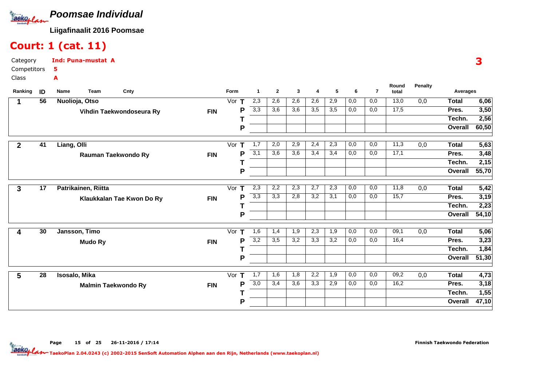

#### Court: 1 (cat. 11)

| Category    | <b>Ind: Puna-mustat A</b> |  |
|-------------|---------------------------|--|
| Competitors | 5.                        |  |
| Class       | А                         |  |

| Ranking      | ID              | Cnty<br>Name<br>Team       |            | Form     | $\mathbf{1}$     | $\mathbf{2}$ | 3   | 4                | 5   | 6                | 7   | Round<br>total | <b>Penalty</b>   | Averages       |                    |
|--------------|-----------------|----------------------------|------------|----------|------------------|--------------|-----|------------------|-----|------------------|-----|----------------|------------------|----------------|--------------------|
|              | 56              | Nuolioja, Otso             |            | Vor      | 2,3              | 2,6          | 2,6 | 2,6              | 2,9 | 0,0              | 0,0 | 13,0           | 0,0              | <b>Total</b>   | 6,06               |
|              |                 | Vihdin Taekwondoseura Ry   | <b>FIN</b> | P        | $\overline{3,3}$ | 3,6          | 3,6 | $\overline{3,5}$ | 3,5 | 0,0              | 0,0 | 17,5           |                  | Pres.          | 3,50               |
|              |                 |                            |            |          |                  |              |     |                  |     |                  |     |                |                  | Techn.         | 2,56               |
|              |                 |                            |            | P        |                  |              |     |                  |     |                  |     |                |                  | Overall        | 60,50              |
| $\mathbf{2}$ | 41              | Liang, Olli                |            | Vor<br>т | 1,7              | 2,0          | 2,9 | 2,4              | 2,3 | 0,0              | 0,0 | 11,3           | 0,0              | <b>Total</b>   | 5,63               |
|              |                 | Rauman Taekwondo Ry        | <b>FIN</b> | P        | 3,1              | 3,6          | 3,6 | 3,4              | 3,4 | 0,0              | 0,0 | 17,1           |                  | Pres.          | 3,48               |
|              |                 |                            |            |          |                  |              |     |                  |     |                  |     |                |                  | Techn.         | 2,15               |
|              |                 |                            |            | P        |                  |              |     |                  |     |                  |     |                |                  | Overall        | 55,70              |
| $\mathbf{3}$ | $\overline{17}$ | Patrikainen, Riitta        |            | Vor $T$  | 2,3              | 2,2          | 2,3 | 2,7              | 2,3 | 0,0              | 0,0 | 11,8           | 0,0              | <b>Total</b>   | 5,42               |
|              |                 | Klaukkalan Tae Kwon Do Ry  | <b>FIN</b> | P        | 3,3              | 3,3          | 2,8 | 3,2              | 3,1 | 0,0              | 0,0 | 15,7           |                  | Pres.          | 3,19               |
|              |                 |                            |            |          |                  |              |     |                  |     |                  |     |                |                  | Techn.         | 2,23               |
|              |                 |                            |            | P        |                  |              |     |                  |     |                  |     |                |                  | Overall        | 54,10              |
| 4            | 30              | Jansson, Timo              |            | Vor<br>т | 1,6              | 1,4          | 1,9 | 2,3              | 1,9 | 0,0              | 0,0 | 09,1           | 0,0              | <b>Total</b>   | 5,06               |
|              |                 | <b>Mudo Ry</b>             | <b>FIN</b> | P        | 3,2              | 3,5          | 3,2 | 3,3              | 3,2 | 0,0              | 0,0 | 16,4           |                  | Pres.          | 3,23               |
|              |                 |                            |            |          |                  |              |     |                  |     |                  |     |                |                  | Techn.         | 1,84               |
|              |                 |                            |            | P        |                  |              |     |                  |     |                  |     |                |                  | <b>Overall</b> | $\overline{51,30}$ |
| 5            | $\overline{28}$ | Isosalo, Mika              |            | Vor<br>т | $\overline{1,7}$ | 1,6          | 1,8 | 2,2              | 1,9 | $\overline{0,0}$ | 0,0 | 09,2           | $\overline{0,0}$ | <b>Total</b>   | 4,73               |
|              |                 | <b>Malmin Taekwondo Ry</b> | <b>FIN</b> | P        | $\overline{3,0}$ | 3,4          | 3,6 | 3,3              | 2,9 | 0,0              | 0,0 | 16,2           |                  | Pres.          | 3,18               |
|              |                 |                            |            |          |                  |              |     |                  |     |                  |     |                |                  | Techn.         | 1,55               |
|              |                 |                            |            | P        |                  |              |     |                  |     |                  |     |                |                  | Overall        | 47,10              |

TaekoPlan 2.04.0243 (c) 2002-2015 SenSoft Automation Alphen aan den Rijn, Netherlands (www.taekoplan.nl)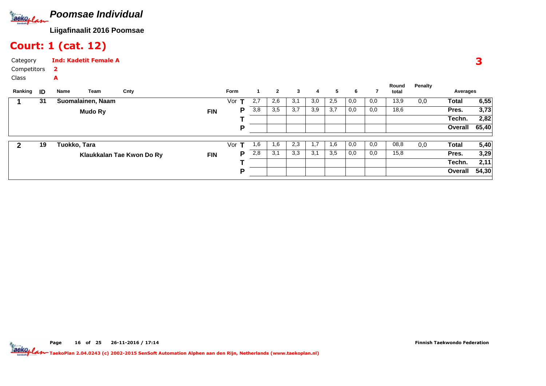

#### Court: 1 (cat. 12)

| Category    | <b>Ind: Kadetit Female A</b> |
|-------------|------------------------------|
| Competitors |                              |
| Class       | А                            |

| Ranking <b>ID</b> |    | Name         | Team              | Cnty                      |            | <b>Form</b> |     | $\mathbf{2}$ | 3   | 4   | 5   | 6   |     | Round<br>total | Penalty | Averages     |       |
|-------------------|----|--------------|-------------------|---------------------------|------------|-------------|-----|--------------|-----|-----|-----|-----|-----|----------------|---------|--------------|-------|
|                   | 31 |              | Suomalainen, Naam |                           |            | Vor         | 2,7 | 2,6          | 3,1 | 3,0 | 2,5 | 0,0 | 0,0 | 13,9           | 0,0     | <b>Total</b> | 6,55  |
|                   |    |              | Mudo Ry           |                           | <b>FIN</b> | P           | 3,8 | 3,5          | 3,7 | 3,9 | 3,7 | 0,0 | 0,0 | 18,6           |         | Pres.        | 3,73  |
|                   |    |              |                   |                           |            |             |     |              |     |     |     |     |     |                |         | Techn.       | 2,82  |
|                   |    |              |                   |                           |            | D           |     |              |     |     |     |     |     |                |         | Overall      | 65,40 |
|                   |    |              |                   |                           |            |             |     |              |     |     |     |     |     |                |         |              |       |
|                   | 19 | Tuokko, Tara |                   |                           |            | Vor<br>т    | 1,6 | 1,6          | 2,3 | 1,7 | 1,6 | 0,0 | 0,0 | 08,8           | 0,0     | <b>Total</b> | 5,40  |
|                   |    |              |                   | Klaukkalan Tae Kwon Do Ry | <b>FIN</b> | Р           | 2,8 | 3,1          | 3,3 | 3,1 | 3,5 | 0,0 | 0,0 | 15,8           |         | Pres.        | 3,29  |
|                   |    |              |                   |                           |            |             |     |              |     |     |     |     |     |                |         | Techn.       | 2,11  |
|                   |    |              |                   |                           |            | D           |     |              |     |     |     |     |     |                |         | Overall      | 54,30 |
|                   |    |              |                   |                           |            |             |     |              |     |     |     |     |     |                |         |              |       |

Finnish Taekwondo Federation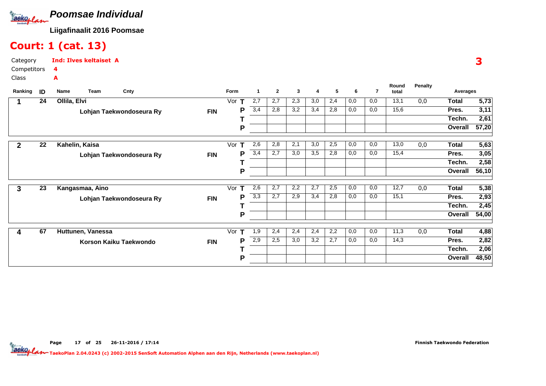

#### Court: 1 (cat. 13)

| Category    | <b>Ind: Ilves keltaiset A</b> |  |
|-------------|-------------------------------|--|
| Competitors |                               |  |
| Class       | A                             |  |

| Ranking | ID | Name<br>Team      | Cnty                     |            | Form     |     | $\mathbf{2}$ | 3   | 4   | 5   | 6   | 7   | Round<br>total | <b>Penalty</b> | Averages     |       |
|---------|----|-------------------|--------------------------|------------|----------|-----|--------------|-----|-----|-----|-----|-----|----------------|----------------|--------------|-------|
|         | 24 | Ollila, Elvi      |                          |            | Vor      | 2,7 | 2,7          | 2,3 | 3,0 | 2,4 | 0,0 | 0,0 | 13,1           | 0,0            | <b>Total</b> | 5,73  |
|         |    |                   | Lohjan Taekwondoseura Ry | <b>FIN</b> | P        | 3,4 | 2,8          | 3,2 | 3,4 | 2,8 | 0,0 | 0,0 | 15,6           |                | Pres.        | 3,11  |
|         |    |                   |                          |            |          |     |              |     |     |     |     |     |                |                | Techn.       | 2,61  |
|         |    |                   |                          |            | P        |     |              |     |     |     |     |     |                |                | Overall      | 57,20 |
| 2       | 22 | Kahelin, Kaisa    |                          |            | Vor      | 2,6 | 2,8          | 2,1 | 3,0 | 2,5 | 0,0 | 0,0 | 13,0           | 0,0            | <b>Total</b> | 5,63  |
|         |    |                   | Lohjan Taekwondoseura Ry | <b>FIN</b> | P        | 3,4 | 2,7          | 3,0 | 3,5 | 2,8 | 0,0 | 0,0 | 15,4           |                | Pres.        | 3,05  |
|         |    |                   |                          |            |          |     |              |     |     |     |     |     |                |                | Techn.       | 2,58  |
|         |    |                   |                          |            | P        |     |              |     |     |     |     |     |                |                | Overall      | 56,10 |
| 3       | 23 | Kangasmaa, Aino   |                          |            | Vor<br>т | 2,6 | 2,7          | 2,2 | 2,7 | 2,5 | 0,0 | 0,0 | 12,7           | 0,0            | Total        | 5,38  |
|         |    |                   | Lohjan Taekwondoseura Ry | <b>FIN</b> | P        | 3,3 | 2,7          | 2,9 | 3,4 | 2,8 | 0,0 | 0,0 | 15,1           |                | Pres.        | 2,93  |
|         |    |                   |                          |            |          |     |              |     |     |     |     |     |                |                | Techn.       | 2,45  |
|         |    |                   |                          |            | P        |     |              |     |     |     |     |     |                |                | Overall      | 54,00 |
|         | 67 | Huttunen, Vanessa |                          |            | т<br>Vor | 1,9 | 2,4          | 2,4 | 2,4 | 2,2 | 0,0 | 0,0 | 11,3           | 0,0            | <b>Total</b> | 4,88  |
|         |    |                   | Korson Kaiku Taekwondo   | <b>FIN</b> | P        | 2,9 | 2,5          | 3,0 | 3,2 | 2,7 | 0,0 | 0,0 | 14,3           |                | Pres.        | 2,82  |
|         |    |                   |                          |            |          |     |              |     |     |     |     |     |                |                | Techn.       | 2,06  |
|         |    |                   |                          |            | P        |     |              |     |     |     |     |     |                |                | Overall      | 48,50 |

Page 17 of 25 26-11-2016 / 17:14

TaekoPlan 2.04.0243 (c) 2002-2015 SenSoft Automation Alphen aan den Rijn, Netherlands (www.taekoplan.nl)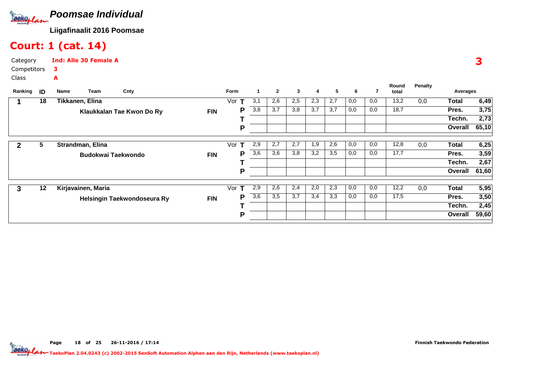

#### Court: 1 (cat. 14)

| Category    | <b>Ind: Alle 30 Female A</b> |
|-------------|------------------------------|
| Competitors | 3                            |
| Class       | А                            |

| Ranking | ID | Team<br>Name       | Cnty                        |            | Form     |     | $\mathbf{2}$ | 3   | 4   | 5   | 6   | 7   | Round<br>total | Penalty | Averages     |       |
|---------|----|--------------------|-----------------------------|------------|----------|-----|--------------|-----|-----|-----|-----|-----|----------------|---------|--------------|-------|
|         | 18 | Tikkanen, Elina    |                             |            | Vor      | 3,1 | 2,6          | 2,5 | 2,3 | 2,7 | 0,0 | 0,0 | 13,2           | 0,0     | Total        | 6,49  |
|         |    |                    | Klaukkalan Tae Kwon Do Ry   | <b>FIN</b> | P        | 3,8 | 3,7          | 3,8 | 3,7 | 3,7 | 0,0 | 0,0 | 18,7           |         | Pres.        | 3,75  |
|         |    |                    |                             |            |          |     |              |     |     |     |     |     |                |         | Techn.       | 2,73  |
|         |    |                    |                             |            | P        |     |              |     |     |     |     |     |                |         | Overall      | 65,10 |
|         | 5  | Strandman, Elina   |                             |            | Vor      | 2,9 | 2,7          | 2,7 | 1,9 | 2,6 | 0,0 | 0,0 | 12,8           | 0,0     | Total        | 6,25  |
|         |    |                    | <b>Budokwai Taekwondo</b>   | <b>FIN</b> | P        | 3,6 | 3,6          | 3,8 | 3,2 | 3,5 | 0,0 | 0,0 | 17,7           |         | Pres.        | 3,59  |
|         |    |                    |                             |            |          |     |              |     |     |     |     |     |                |         | Techn.       | 2,67  |
|         |    |                    |                             |            | P        |     |              |     |     |     |     |     |                |         | Overall      | 61,60 |
| 3       | 12 | Kirjavainen, Maria |                             |            | Vor<br>т | 2,9 | 2,6          | 2,4 | 2,0 | 2,3 | 0,0 | 0,0 | 12,2           | 0,0     | <b>Total</b> | 5,95  |
|         |    |                    | Helsingin Taekwondoseura Ry | <b>FIN</b> | P        | 3,6 | 3,5          | 3,7 | 3,4 | 3,3 | 0,0 | 0,0 | 17,5           |         | Pres.        | 3,50  |
|         |    |                    |                             |            |          |     |              |     |     |     |     |     |                |         | Techn.       | 2,45  |
|         |    |                    |                             |            | Р        |     |              |     |     |     |     |     |                |         | Overall      | 59,60 |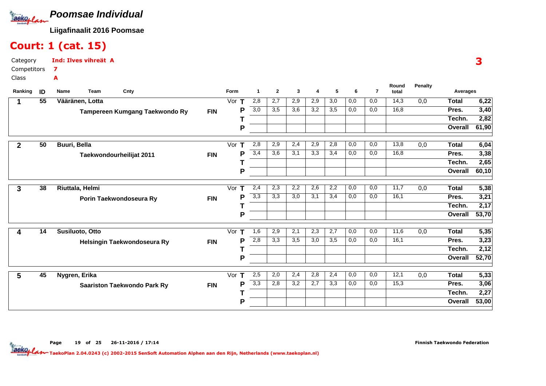

#### Court: 1 (cat. 15)

| Category    | <b>Ind: Ilves vihreät A</b> |  |
|-------------|-----------------------------|--|
| Competitors |                             |  |
| Class       | А                           |  |

| Ranking      | ID              | Cnty<br>Name<br>Team               |            | Form               | -1               | $\mathbf{2}$ | 3   | 4   | 5                | 6   | $\overline{7}$ | Round<br>total    | <b>Penalty</b>   | Averages     |       |
|--------------|-----------------|------------------------------------|------------|--------------------|------------------|--------------|-----|-----|------------------|-----|----------------|-------------------|------------------|--------------|-------|
|              | $\overline{55}$ | Vääränen, Lotta                    |            | Vor<br>т           | 2,8              | 2,7          | 2,9 | 2,9 | 3,0              | 0,0 | 0,0            | 14,3              | 0,0              | <b>Total</b> | 6,22  |
|              |                 | Tampereen Kumgang Taekwondo Ry     | <b>FIN</b> | P                  | 3,0              | 3,5          | 3,6 | 3,2 | $\overline{3,5}$ | 0,0 | 0,0            | 16,8              |                  | Pres.        | 3,40  |
|              |                 |                                    |            |                    |                  |              |     |     |                  |     |                |                   |                  | Techn.       | 2,82  |
|              |                 |                                    |            | P                  |                  |              |     |     |                  |     |                |                   |                  | Overall      | 61,90 |
| $\mathbf{2}$ | 50              | Buuri, Bella                       |            | Vor<br>т           | 2,8              | 2,9          | 2,4 | 2,9 | 2,8              | 0,0 | 0,0            | 13,8              | 0,0              | <b>Total</b> | 6,04  |
|              |                 | Taekwondourheilijat 2011           | <b>FIN</b> | P                  | 3,4              | 3,6          | 3,1 | 3,3 | 3,4              | 0,0 | 0,0            | 16,8              |                  | Pres.        | 3,38  |
|              |                 |                                    |            |                    |                  |              |     |     |                  |     |                |                   |                  | Techn.       | 2,65  |
|              |                 |                                    |            | P                  |                  |              |     |     |                  |     |                |                   |                  | Overall      | 60,10 |
| 3            | 38              | Riuttala, Helmi                    |            | Vor<br>т           | 2,4              | 2,3          | 2,2 | 2,6 | 2,2              | 0,0 | 0,0            | $\overline{11,7}$ | 0,0              | <b>Total</b> | 5,38  |
|              |                 | Porin Taekwondoseura Ry            | <b>FIN</b> | P                  | 3,3              | 3,3          | 3,0 | 3,1 | 3,4              | 0,0 | 0,0            | 16,1              |                  | Pres.        | 3,21  |
|              |                 |                                    |            |                    |                  |              |     |     |                  |     |                |                   |                  | Techn.       | 2,17  |
|              |                 |                                    |            | P                  |                  |              |     |     |                  |     |                |                   |                  | Overall      | 53,70 |
| 4            | 14              | Susiluoto, Otto                    |            | T<br>Vor           | 1,6              | 2,9          | 2,1 | 2,3 | 2,7              | 0,0 | 0,0            | 11,6              | 0,0              | <b>Total</b> | 5,35  |
|              |                 | Helsingin Taekwondoseura Ry        | <b>FIN</b> | P                  | 2,8              | 3,3          | 3,5 | 3,0 | 3,5              | 0,0 | 0,0            | 16,1              |                  | Pres.        | 3,23  |
|              |                 |                                    |            |                    |                  |              |     |     |                  |     |                |                   |                  | Techn.       | 2,12  |
|              |                 |                                    |            | P                  |                  |              |     |     |                  |     |                |                   |                  | Overall      | 52,70 |
| 5            | 45              | Nygren, Erika                      |            | Vor<br>$\mathbf T$ | 2,5              | 2,0          | 2,4 | 2,8 | 2,4              | 0,0 | 0,0            | 12,1              | $\overline{0,0}$ | <b>Total</b> | 5,33  |
|              |                 | <b>Saariston Taekwondo Park Ry</b> | <b>FIN</b> | P                  | $\overline{3,3}$ | 2,8          | 3,2 | 2,7 | 3,3              | 0,0 | 0,0            | 15,3              |                  | Pres.        | 3,06  |
|              |                 |                                    |            |                    |                  |              |     |     |                  |     |                |                   |                  | Techn.       | 2,27  |
|              |                 |                                    |            | P                  |                  |              |     |     |                  |     |                |                   |                  | Overall      | 53,00 |

3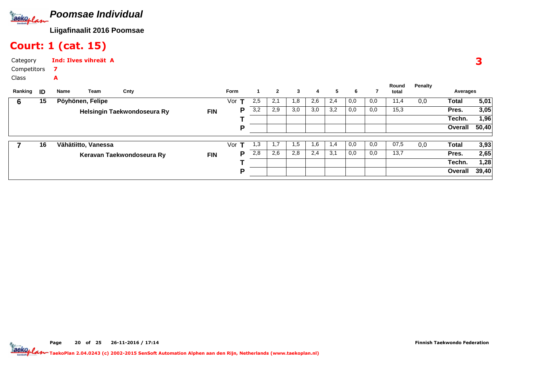

#### Court: 1 (cat. 15)

| Category    | <b>Ind: Ilves vihreät A</b> |  |
|-------------|-----------------------------|--|
| Competitors |                             |  |
| Class       | A                           |  |

| Ranking | ID | Name | Team                | Cnty                        |            | <b>Form</b> |      | $\mathbf{2}$ | 3   | 4   | 5   | 6   |     | Round<br>total | Penalty | Averages     |       |
|---------|----|------|---------------------|-----------------------------|------------|-------------|------|--------------|-----|-----|-----|-----|-----|----------------|---------|--------------|-------|
| b       | 15 |      | Pöyhönen, Felipe    |                             |            | Vor         | 2,5  | 2,1          | 1,8 | 2,6 | 2,4 | 0,0 | 0,0 | 11,4           | 0,0     | Total        | 5,01  |
|         |    |      |                     | Helsingin Taekwondoseura Ry | <b>FIN</b> | Р           | 3,2  | 2,9          | 3,0 | 3,0 | 3,2 | 0,0 | 0,0 | 15,3           |         | Pres.        | 3,05  |
|         |    |      |                     |                             |            |             |      |              |     |     |     |     |     |                |         | Techn.       | 1,96  |
|         |    |      |                     |                             |            | D           |      |              |     |     |     |     |     |                |         | Overall      | 50,40 |
|         |    |      |                     |                             |            |             |      |              |     |     |     |     |     |                |         |              |       |
|         | 16 |      | Vähätiitto, Vanessa |                             |            | Vor         | 3. ا | 1.7          | 1,5 | 1,6 | 1,4 | 0,0 | 0,0 | 07,5           | 0,0     | <b>Total</b> | 3,93  |
|         |    |      |                     | Keravan Taekwondoseura Ry   | <b>FIN</b> | Р           | 2,8  | 2,6          | 2,8 | 2,4 | 3,1 | 0,0 | 0,0 | 13,7           |         | Pres.        | 2,65  |
|         |    |      |                     |                             |            |             |      |              |     |     |     |     |     |                |         | Techn.       | 1,28  |
|         |    |      |                     |                             |            | D           |      |              |     |     |     |     |     |                |         | Overall      | 39,40 |
|         |    |      |                     |                             |            |             |      |              |     |     |     |     |     |                |         |              |       |

Finnish Taekwondo Federation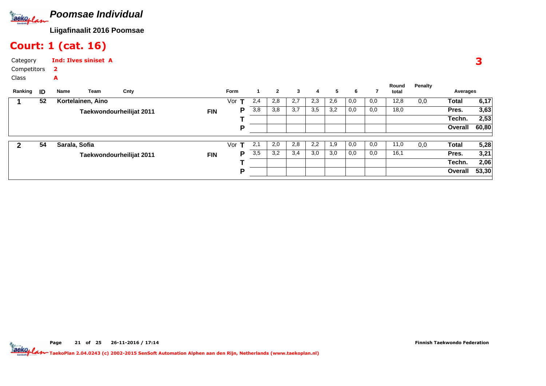

A

#### Court: 1 (cat. 16)

| Category    | <b>Ind: Ilves siniset</b> |
|-------------|---------------------------|
| Competitors |                           |
| Class       | А                         |

|         |    |               | Team              |                          |            | <b>Form</b> |     | $\mathbf{2}$ | 3                |     | 5   | 6   |     | Round | Penalty |          |       |
|---------|----|---------------|-------------------|--------------------------|------------|-------------|-----|--------------|------------------|-----|-----|-----|-----|-------|---------|----------|-------|
| Ranking | ID | Name          |                   | Cnty                     |            |             |     |              |                  | 4   |     |     |     | total |         | Averages |       |
|         | 52 |               | Kortelainen, Aino |                          |            | Vor         | 2,4 | 2,8          | 2,7              | 2,3 | 2,6 | 0,0 | 0,0 | 12,8  | 0,0     | Total    | 6,17  |
|         |    |               |                   | Taekwondourheilijat 2011 | <b>FIN</b> | Р           | 3,8 | 3,8          | $\overline{3,7}$ | 3,5 | 3,2 | 0,0 | 0,0 | 18,0  |         | Pres.    | 3,63  |
|         |    |               |                   |                          |            |             |     |              |                  |     |     |     |     |       |         | Techn.   | 2,53  |
|         |    |               |                   |                          |            | D           |     |              |                  |     |     |     |     |       |         | Overall  | 60,80 |
|         |    |               |                   |                          |            |             |     |              |                  |     |     |     |     |       |         |          |       |
| 2       | 54 | Sarala, Sofia |                   |                          |            | Vor         | 2,1 | 2,0          | 2,8              | 2,2 | 1,9 | 0,0 | 0,0 | 11,0  | 0,0     | Total    | 5,28  |
|         |    |               |                   | Taekwondourheilijat 2011 | <b>FIN</b> | Р           | 3,5 | 3,2          | 3,4              | 3,0 | 3,0 | 0,0 | 0,0 | 16,1  |         | Pres.    | 3,21  |
|         |    |               |                   |                          |            |             |     |              |                  |     |     |     |     |       |         | Techn.   | 2,06  |
|         |    |               |                   |                          |            | D           |     |              |                  |     |     |     |     |       |         | Overall  | 53,30 |
|         |    |               |                   |                          |            |             |     |              |                  |     |     |     |     |       |         |          |       |

Finnish Taekwondo Federation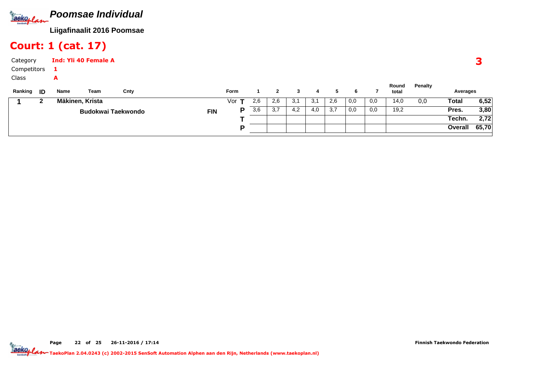

#### Court: 1 (cat. 17)

| Category    |      |      | <b>Ind: Yli 40 Female A</b> |                           |            |             |     |              |     |     |     |     |     |                |         |          |       |
|-------------|------|------|-----------------------------|---------------------------|------------|-------------|-----|--------------|-----|-----|-----|-----|-----|----------------|---------|----------|-------|
| Competitors |      |      |                             |                           |            |             |     |              |     |     |     |     |     |                |         |          |       |
| Class       |      | A    |                             |                           |            |             |     |              |     |     |     |     |     |                |         |          |       |
| Ranking     | - ID | Name | Team                        | Cnty                      |            | <b>Form</b> |     | $\mathbf{2}$ | 3   | 4   | 5   | 6   |     | Round<br>total | Penalty | Averages |       |
|             | 2    |      | Mäkinen, Krista             |                           |            | Vor $T$     | 2,6 | 2,6          | 3,1 | 3,1 | 2,6 | 0,0 | 0,0 | 14,0           | 0,0     | Total    | 6,52  |
|             |      |      |                             | <b>Budokwai Taekwondo</b> | <b>FIN</b> | P           | 3,6 | 3,7          | 4,2 | 4,0 | 3,7 | 0,0 | 0,0 | 19,2           |         | Pres.    | 3,80  |
|             |      |      |                             |                           |            |             |     |              |     |     |     |     |     |                |         | Techn.   | 2,72  |
|             |      |      |                             |                           |            | D           |     |              |     |     |     |     |     |                |         | Overall  | 65,70 |

Page 22 of 25 26-11-2016 / 17:14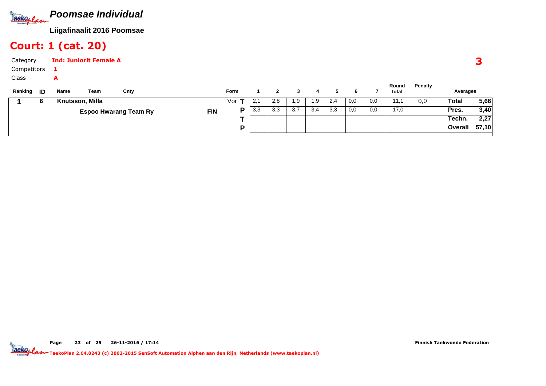

#### Court: 1 (cat. 20)

| Category<br>Competitors |                 | <b>Ind: Juniorit Female A</b> |                              |            |             |     |                |     |     |     |     |     |                |         |          |       |
|-------------------------|-----------------|-------------------------------|------------------------------|------------|-------------|-----|----------------|-----|-----|-----|-----|-----|----------------|---------|----------|-------|
| Class<br>Ranking<br>ID  | A<br>Name       | Team                          | Cnty                         |            | <b>Form</b> |     | $\overline{2}$ | 3   | 4   | 5.  | 6   |     | Round<br>total | Penalty | Averages |       |
| b                       | Knutsson, Milla |                               |                              |            | Vor         | 2,1 | 2,8            | 1,9 | 1,9 | 2,4 | 0,0 | 0,0 | 11,1           | 0,0     | Total    | 5,66  |
|                         |                 |                               | <b>Espoo Hwarang Team Ry</b> | <b>FIN</b> | P           | 3,3 | 3,3            | 3,7 | 3,4 | 3,3 | 0,0 | 0,0 | 17,0           |         | Pres.    | 3,40  |
|                         |                 |                               |                              |            |             |     |                |     |     |     |     |     |                |         | Techn.   | 2,27  |
|                         |                 |                               |                              |            | D           |     |                |     |     |     |     |     |                |         | Overall  | 57,10 |

Page 23 of 25 26-11-2016 / 17:14

Finnish Taekwondo Federation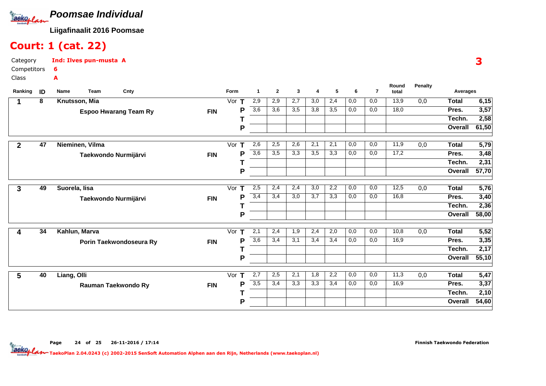

#### Court: 1 (cat. 22)

| Category<br>Competitors 6 |      | Ind: Ilves pun-musta A |      |      |              |   |   |   |
|---------------------------|------|------------------------|------|------|--------------|---|---|---|
| <b>Class</b>              |      |                        |      |      |              |   |   |   |
| Ranking<br>ID             | Name | Team                   | Cnty | Form | $\mathbf{2}$ | 3 | 4 | 5 |

| Ranking        | ID | Cnty<br>Name<br>Team         |            | Form     | 1                | $\mathbf{2}$ | 3   | 4   | 5   | 6   | 7   | total |     | Averages     |       |
|----------------|----|------------------------------|------------|----------|------------------|--------------|-----|-----|-----|-----|-----|-------|-----|--------------|-------|
|                | 8  | Knutsson, Mia                |            | Vor<br>п | 2,9              | 2,9          | 2,7 | 3,0 | 2,4 | 0,0 | 0,0 | 13,9  | 0,0 | <b>Total</b> | 6,15  |
|                |    | <b>Espoo Hwarang Team Ry</b> | <b>FIN</b> | Р        | $\overline{3,6}$ | 3,6          | 3,5 | 3,8 | 3,5 | 0,0 | 0,0 | 18,0  |     | Pres.        | 3,57  |
|                |    |                              |            |          |                  |              |     |     |     |     |     |       |     | Techn.       | 2,58  |
|                |    |                              |            | P        |                  |              |     |     |     |     |     |       |     | Overall      | 61,50 |
| $\overline{2}$ | 47 | Nieminen, Vilma              |            | Vor      | 2,6              | 2,5          | 2,6 | 2,1 | 2,1 | 0,0 | 0,0 | 11,9  | 0,0 | <b>Total</b> | 5,79  |
|                |    | Taekwondo Nurmijärvi         | <b>FIN</b> | Р        | $\overline{3,6}$ | 3,5          | 3,3 | 3,5 | 3,3 | 0,0 | 0,0 | 17,2  |     | Pres.        | 3,48  |
|                |    |                              |            |          |                  |              |     |     |     |     |     |       |     | Techn.       | 2,31  |
|                |    |                              |            | P        |                  |              |     |     |     |     |     |       |     | Overall      | 57,70 |
| 3              | 49 | Suorela, lisa                |            | Vor<br>т | 2,5              | 2,4          | 2,4 | 3,0 | 2,2 | 0,0 | 0,0 | 12,5  | 0,0 | <b>Total</b> | 5,76  |
|                |    | Taekwondo Nurmijärvi         | <b>FIN</b> | P        | 3,4              | 3,4          | 3,0 | 3,7 | 3,3 | 0,0 | 0,0 | 16,8  |     | Pres.        | 3,40  |
|                |    |                              |            |          |                  |              |     |     |     |     |     |       |     | Techn.       | 2,36  |
|                |    |                              |            | P        |                  |              |     |     |     |     |     |       |     | Overall      | 58,00 |
| 4              | 34 | Kahlun, Marva                |            | Vor $T$  | 2,1              | 2,4          | 1,9 | 2,4 | 2,0 | 0,0 | 0,0 | 10,8  | 0,0 | <b>Total</b> | 5,52  |
|                |    | Porin Taekwondoseura Ry      | <b>FIN</b> | Р        | 3,6              | 3,4          | 3,1 | 3,4 | 3,4 | 0,0 | 0,0 | 16,9  |     | Pres.        | 3,35  |
|                |    |                              |            |          |                  |              |     |     |     |     |     |       |     | Techn.       | 2,17  |
|                |    |                              |            | P        |                  |              |     |     |     |     |     |       |     | Overall      | 55,10 |
| 5              | 40 | Liang, Olli                  |            | Vor<br>т | 2,7              | 2,5          | 2,1 | 1,8 | 2,2 | 0,0 | 0,0 | 11,3  | 0,0 | <b>Total</b> | 5,47  |
|                |    | Rauman Taekwondo Ry          | <b>FIN</b> | Ρ        | $\overline{3,5}$ | 3,4          | 3,3 | 3,3 | 3,4 | 0,0 | 0,0 | 16,9  |     | Pres.        | 3,37  |
|                |    |                              |            |          |                  |              |     |     |     |     |     |       |     | Techn.       | 2,10  |
|                |    |                              |            | P        |                  |              |     |     |     |     |     |       |     | Overall      | 54,60 |

3

**Round**

**Penalty**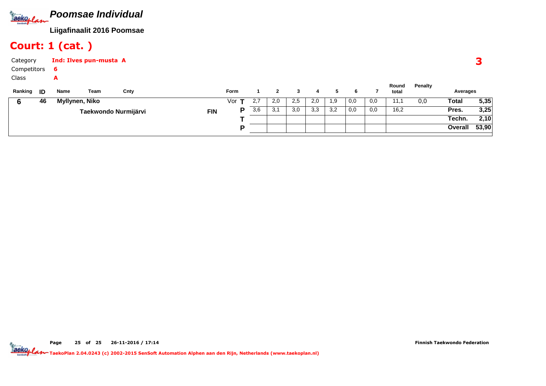

# Court: 1 (cat. )

| Category<br>Competitors<br>Class |    | 6<br>A         | Ind: Ilves pun-musta A |                      |            |              |     |              |     |     |     |     |     |                |         |          |       |
|----------------------------------|----|----------------|------------------------|----------------------|------------|--------------|-----|--------------|-----|-----|-----|-----|-----|----------------|---------|----------|-------|
| Ranking <b>ID</b>                |    | Name           | Team                   | Cnty                 |            | Form         |     | $\mathbf{2}$ | 3   | 4   | 5   | 6   |     | Round<br>total | Penalty | Averages |       |
|                                  | 46 | Myllynen, Niko |                        |                      |            | Vor <b>T</b> | 2,7 | 2,0          | 2,5 | 2,0 | 1,9 | 0,0 | 0,0 | 11,1           | 0,0     | Total    | 5,35  |
|                                  |    |                |                        | Taekwondo Nurmijärvi | <b>FIN</b> | P            | 3,6 | 3,1          | 3,0 | 3,3 | 3,2 | 0,0 | 0,0 | 16,2           |         | Pres.    | 3,25  |
|                                  |    |                |                        |                      |            |              |     |              |     |     |     |     |     |                |         | Techn.   | 2,10  |
|                                  |    |                |                        |                      |            | D            |     |              |     |     |     |     |     |                |         | Overall  | 53,90 |

Page 25 of 25 26-11-2016 / 17:14

Finnish Taekwondo Federation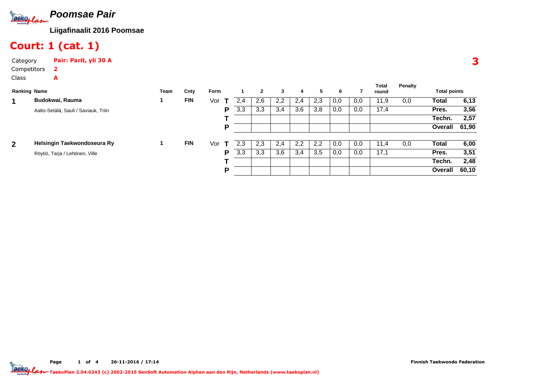

# Court: 1 (cat. 1)

Category Pair: Parit, yli 30 ACompetitors2

A

|              |                                      |      |            |      |     |              |     |     |               |     |     | <b>Total</b> | Penalty |                     |       |
|--------------|--------------------------------------|------|------------|------|-----|--------------|-----|-----|---------------|-----|-----|--------------|---------|---------------------|-------|
|              | <b>Ranking Name</b>                  | Team | Cnty       | Form |     | $\mathbf{2}$ | 3   | 4   | 5             | 6   |     | round        |         | <b>Total points</b> |       |
| 1            | Budokwai, Rauma                      |      | <b>FIN</b> | Vor  | 2.4 | 2,6          | 2,2 | 2,4 | 2,3           | 0,0 | 0,0 | 11,9         | 0,0     | <b>Total</b>        | 6,13  |
|              | Aalto-Setälä, Sauli / Saviauk, Triin |      |            | P    | 3,3 | 3,3          | 3,4 | 3,6 | 3,8           | 0,0 | 0,0 | 17,4         |         | Pres.               | 3,56  |
|              |                                      |      |            |      |     |              |     |     |               |     |     |              |         | Techn.              | 2,57  |
|              |                                      |      |            | P    |     |              |     |     |               |     |     |              |         | Overall             | 61,90 |
|              |                                      |      |            |      |     |              |     |     |               |     |     |              |         |                     |       |
| $\mathbf{2}$ | Helsingin Taekwondoseura Ry          |      | <b>FIN</b> | Vor  | 2.3 | 2,3          | 2,4 | 2,2 | $2.2^{\circ}$ | 0,0 | 0,0 | 11,4         | 0,0     | Total               | 6,00  |
|              | Röytiö, Tarja / Lehtinen, Ville      |      |            | P    | 3,3 | 3,3          | 3,6 | 3,4 | 3,5           | 0,0 | 0,0 | 17,1         |         | Pres.               | 3,51  |
|              |                                      |      |            |      |     |              |     |     |               |     |     |              |         | Techn.              | 2,48  |
|              |                                      |      |            | P    |     |              |     |     |               |     |     |              |         | Overall             | 60,10 |
|              |                                      |      |            |      |     |              |     |     |               |     |     |              |         |                     |       |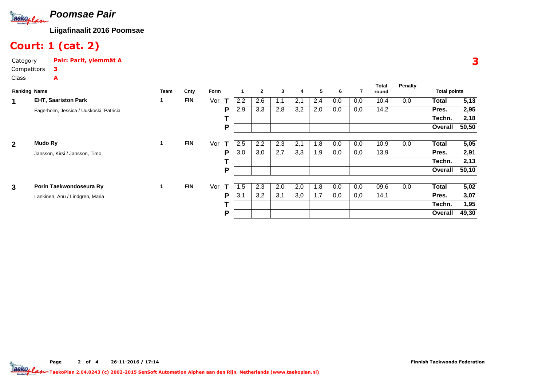

### Court: 1 (cat. 2)

A

CategoryPair: Parit, ylemmät A

#### Class

| <b>Ranking Name</b> |                                         | Team | Cnty       | Form     |          |    | $\mathbf{2}$ | 3   | 4   | 5   | 6   | 7   | <b>Total</b><br>round | <b>Penalty</b> | <b>Total points</b> |       |
|---------------------|-----------------------------------------|------|------------|----------|----------|----|--------------|-----|-----|-----|-----|-----|-----------------------|----------------|---------------------|-------|
| 1                   | <b>EHT, Saariston Park</b>              |      | <b>FIN</b> | Vor<br>т | 2,2      |    | 2,6          | 1,1 | 2,1 | 2,4 | 0,0 | 0,0 | 10,4                  | 0,0            | <b>Total</b>        | 5,13  |
|                     | Fagerholm, Jessica / Uuskoski, Patricia |      |            |          | 2,9<br>P |    | 3,3          | 2,8 | 3,2 | 2,0 | 0,0 | 0,0 | 14,2                  |                | Pres.               | 2,95  |
|                     |                                         |      |            |          |          |    |              |     |     |     |     |     |                       |                | Techn.              | 2,18  |
|                     |                                         |      |            |          | P        |    |              |     |     |     |     |     |                       |                | Overall             | 50,50 |
| $\overline{2}$      | Mudo Ry                                 | 1    | <b>FIN</b> | Vor<br>т | 2,5      |    | 2,2          | 2,3 | 2,1 | 1,8 | 0,0 | 0,0 | 10,9                  | 0,0            | <b>Total</b>        | 5,05  |
|                     | Jansson, Kirsi / Jansson, Timo          |      |            |          | 3,0<br>P |    | 3,0          | 2,7 | 3,3 | 1,9 | 0,0 | 0,0 | 13,9                  |                | Pres.               | 2,91  |
|                     |                                         |      |            |          |          |    |              |     |     |     |     |     |                       |                | Techn.              | 2,13  |
|                     |                                         |      |            |          | P        |    |              |     |     |     |     |     |                       |                | Overall             | 50,10 |
| $\mathbf{3}$        | Porin Taekwondoseura Ry                 |      | <b>FIN</b> | Vor<br>т |          | .5 | 2,3          | 2,0 | 2,0 | 1,8 | 0,0 | 0,0 | 09,6                  | 0,0            | <b>Total</b>        | 5,02  |
|                     | Lankinen, Anu / Lindgren, Maria         |      |            |          | 3,1<br>P |    | 3,2          | 3,1 | 3,0 | 1,7 | 0,0 | 0,0 | 14,1                  |                | Pres.               | 3,07  |
|                     |                                         |      |            |          |          |    |              |     |     |     |     |     |                       |                | Techn.              | 1,95  |
|                     |                                         |      |            |          | P        |    |              |     |     |     |     |     |                       |                | Overall             | 49,30 |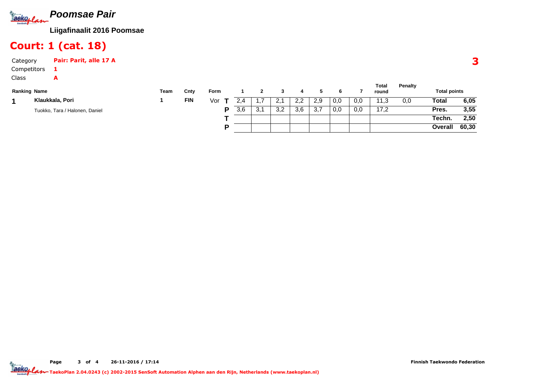

## Court: 1 (cat. 18)

A

Category Pair: Parit, alle 17 A1

#### Class

| <b>Ranking Name</b> |                                | Team | Cnty       | Form |     |           |           |     |     |     |     | Total<br>round | <b>Penalty</b> | <b>Total points</b> |       |
|---------------------|--------------------------------|------|------------|------|-----|-----------|-----------|-----|-----|-----|-----|----------------|----------------|---------------------|-------|
|                     | Klaukkala, Pori                |      | <b>FIN</b> | Vor  |     |           |           | 2,2 | 2.9 | 0,0 | 0,0 | Ι.3            | 0.0            | Total               | 6,05  |
|                     | Tuokko, Tara / Halonen, Daniel |      |            | D    | 3.6 | 21<br>ັບ. | റ റ<br>ັັ | 3,6 | ، ب | 0,0 | 0,0 | 17,2           |                | Pres.               | 3,55  |
|                     |                                |      |            |      |     |           |           |     |     |     |     |                |                | Techn.              | 2,50  |
|                     |                                |      |            | P    |     |           |           |     |     |     |     |                |                | Overall             | 60,30 |

#### 3

Page 3 of 4 26-11-2016 / 17:14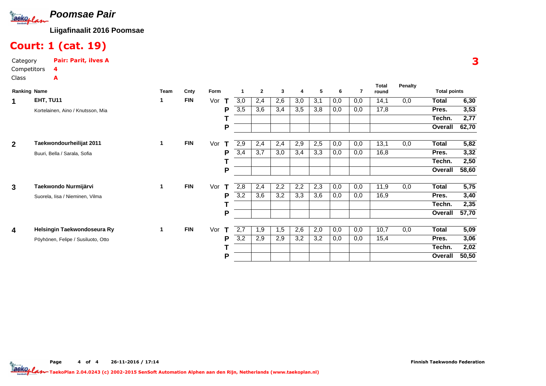

#### Court: 1 (cat. 19)

CategoryPair: Parit, ilves A

A

| <b>Ranking Name</b>     |                                    | Team | Cnty       | Form     |     | $\mathbf{2}$ | 3   | $\overline{4}$ | 5   | 6   | 7   | <b>Total</b><br>round | Penalty | <b>Total points</b> |       |
|-------------------------|------------------------------------|------|------------|----------|-----|--------------|-----|----------------|-----|-----|-----|-----------------------|---------|---------------------|-------|
| 1                       | EHT, TU11                          | 1    | <b>FIN</b> | Vor<br>т | 3,0 | 2,4          | 2,6 | 3,0            | 3,1 | 0,0 | 0,0 | 14,1                  | 0,0     | Total               | 6,30  |
|                         | Kortelainen, Aino / Knutsson, Mia  |      |            | P        | 3,5 | 3,6          | 3,4 | 3,5            | 3,8 | 0,0 | 0,0 | 17,8                  |         | Pres.               | 3,53  |
|                         |                                    |      |            |          |     |              |     |                |     |     |     |                       |         | Techn.              | 2,77  |
|                         |                                    |      |            | P        |     |              |     |                |     |     |     |                       |         | Overall             | 62,70 |
| $\overline{2}$          | Taekwondourheilijat 2011           | 1    | <b>FIN</b> | Vor<br>т | 2,9 | 2,4          | 2,4 | 2,9            | 2,5 | 0,0 | 0,0 | 13,1                  | 0,0     | Total               | 5,82  |
|                         | Buuri, Bella / Sarala, Sofia       |      |            | P        | 3,4 | 3,7          | 3,0 | 3,4            | 3,3 | 0,0 | 0,0 | 16,8                  |         | Pres.               | 3,32  |
|                         |                                    |      |            |          |     |              |     |                |     |     |     |                       |         | Techn.              | 2,50  |
|                         |                                    |      |            | P        |     |              |     |                |     |     |     |                       |         | Overall             | 58,60 |
| $\mathbf{3}$            | Taekwondo Nurmijärvi               | 1    | <b>FIN</b> | Vor<br>т | 2,8 | 2,4          | 2,2 | 2,2            | 2,3 | 0,0 | 0,0 | 11,9                  | 0,0     | <b>Total</b>        | 5,75  |
|                         | Suorela, Iisa / Nieminen, Vilma    |      |            | P        | 3,2 | 3,6          | 3,2 | 3,3            | 3,6 | 0,0 | 0,0 | 16,9                  |         | Pres.               | 3,40  |
|                         |                                    |      |            |          |     |              |     |                |     |     |     |                       |         | Techn.              | 2,35  |
|                         |                                    |      |            | P        |     |              |     |                |     |     |     |                       |         | <b>Overall</b>      | 57,70 |
| $\overline{\mathbf{4}}$ | Helsingin Taekwondoseura Ry        | 1    | <b>FIN</b> | Vor<br>т | 2,7 | 1,9          | 1,5 | 2,6            | 2,0 | 0,0 | 0,0 | 10,7                  | 0,0     | <b>Total</b>        | 5,09  |
|                         | Pöyhönen, Felipe / Susiluoto, Otto |      |            | P        | 3,2 | 2,9          | 2,9 | 3,2            | 3,2 | 0,0 | 0,0 | 15,4                  |         | Pres.               | 3,06  |
|                         |                                    |      |            |          |     |              |     |                |     |     |     |                       |         | Techn.              | 2,02  |
|                         |                                    |      |            | P        |     |              |     |                |     |     |     |                       |         | Overall             | 50,50 |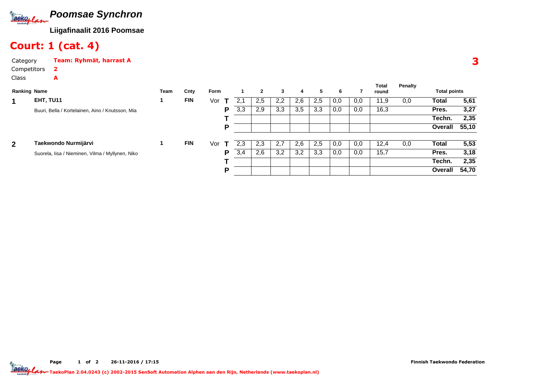

#### Court: 1 (cat. 4)

A

CategoryTeam: Ryhmät, harrast A

#### Class

| <b>Ranking Name</b> |                                                  | Team | Cnty       | Form |              |     | $\mathbf{2}$ | 3   | 4   | 5.  | 6   |     | Total<br>round | Penalty | <b>Total points</b> |       |
|---------------------|--------------------------------------------------|------|------------|------|--------------|-----|--------------|-----|-----|-----|-----|-----|----------------|---------|---------------------|-------|
| 1                   | EHT, TU11                                        |      | <b>FIN</b> | Vor  | т            | 2,1 | 2,5          | 2,2 | 2,6 | 2,5 | 0,0 | 0,0 | 11,9           | 0,0     | <b>Total</b>        | 5,61  |
|                     | Buuri, Bella / Kortelainen, Aino / Knutsson, Mia |      |            |      | P            | 3,3 | 2,9          | 3,3 | 3,5 | 3,3 | 0,0 | 0,0 | 16,3           |         | Pres.               | 3,27  |
|                     |                                                  |      |            |      |              |     |              |     |     |     |     |     |                |         | Techn.              | 2,35  |
|                     |                                                  |      |            |      | P            |     |              |     |     |     |     |     |                |         | Overall             | 55,10 |
| $\overline{2}$      | Taekwondo Nurmijärvi                             |      | <b>FIN</b> | Vor  | $\mathbf{T}$ | 2.3 | 2,3          | 2,7 | 2,6 | 2,5 | 0,0 | 0,0 | 12,4           | 0,0     | Total               | 5,53  |
|                     | Suorela, Iisa / Nieminen, Vilma / Myllynen, Niko |      |            |      | P            | 3,4 | 2,6          | 3,2 | 3,2 | 3,3 | 0,0 | 0,0 | 15,7           |         | Pres.               | 3,18  |
|                     |                                                  |      |            |      |              |     |              |     |     |     |     |     |                |         | Techn.              | 2,35  |
|                     |                                                  |      |            |      | Р            |     |              |     |     |     |     |     |                |         | Overall             | 54,70 |